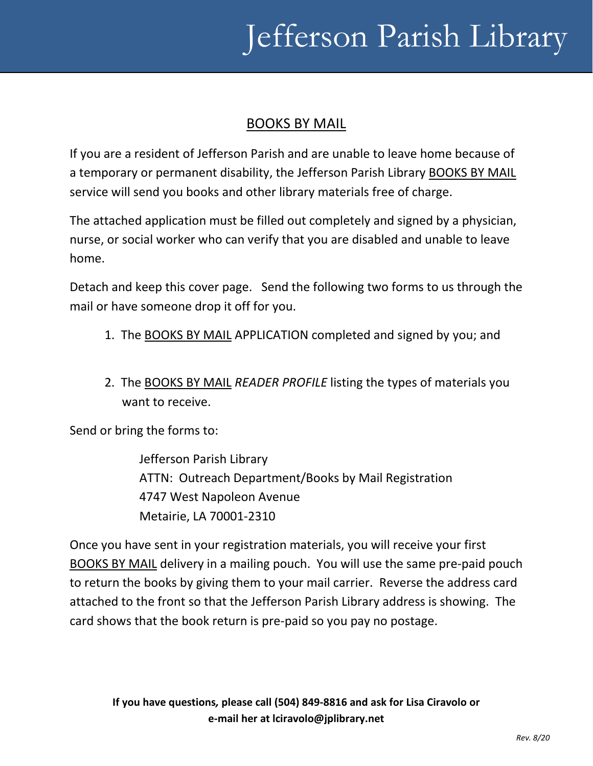# Jefferson Parish Library

#### BOOKS BY MAIL

If you are a resident of Jefferson Parish and are unable to leave home because of a temporary or permanent disability, the Jefferson Parish Library BOOKS BY MAIL service will send you books and other library materials free of charge.

The attached application must be filled out completely and signed by a physician, nurse, or social worker who can verify that you are disabled and unable to leave home.

Detach and keep this cover page. Send the following two forms to us through the mail or have someone drop it off for you.

- 1. The BOOKS BY MAIL APPLICATION completed and signed by you; and
- 2. The BOOKS BY MAIL *READER PROFILE* listing the types of materials you want to receive.

Send or bring the forms to:

Jefferson Parish Library ATTN: Outreach Department/Books by Mail Registration 4747 West Napoleon Avenue Metairie, LA 70001-2310

Once you have sent in your registration materials, you will receive your first BOOKS BY MAIL delivery in a mailing pouch. You will use the same pre-paid pouch to return the books by giving them to your mail carrier. Reverse the address card attached to the front so that the Jefferson Parish Library address is showing. The card shows that the book return is pre-paid so you pay no postage.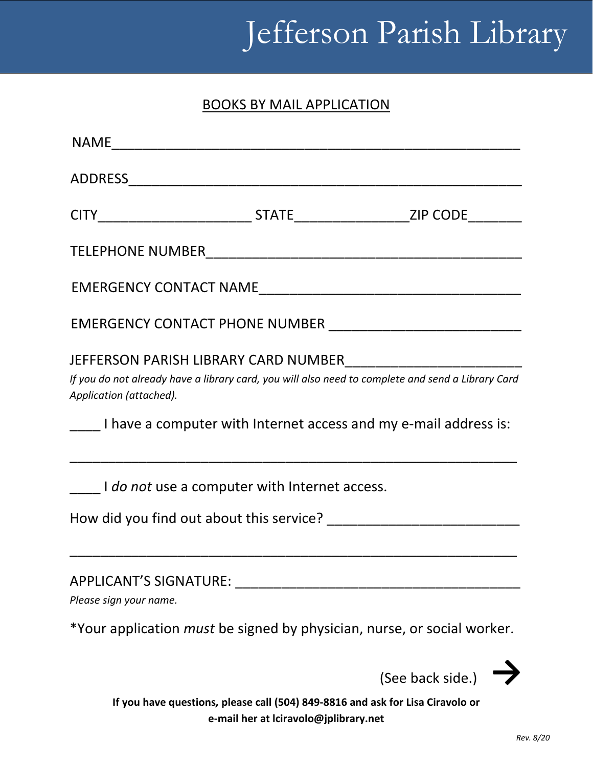# Jefferson Parish Library

### BOOKS BY MAIL APPLICATION

| Application (attached). | If you do not already have a library card, you will also need to complete and send a Library Card<br>I have a computer with Internet access and my e-mail address is: |                  |
|-------------------------|-----------------------------------------------------------------------------------------------------------------------------------------------------------------------|------------------|
|                         | I do not use a computer with Internet access.                                                                                                                         |                  |
|                         |                                                                                                                                                                       |                  |
| Please sign your name.  | APPLICANT'S SIGNATURE:                                                                                                                                                |                  |
|                         | *Your application <i>must</i> be signed by physician, nurse, or social worker.                                                                                        |                  |
|                         |                                                                                                                                                                       | (See back side.) |

**If you have questions***,* **please call (504) 849-8816 and ask for Lisa Ciravolo or e-mail her at lciravolo@jplibrary.net**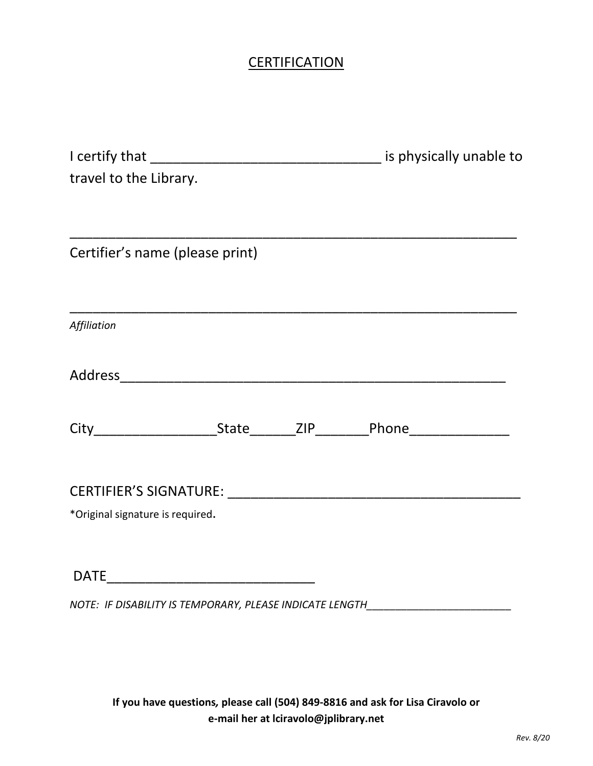## **CERTIFICATION**

| travel to the Library.           |  |  |
|----------------------------------|--|--|
|                                  |  |  |
|                                  |  |  |
| Certifier's name (please print)  |  |  |
|                                  |  |  |
|                                  |  |  |
| Affiliation                      |  |  |
|                                  |  |  |
|                                  |  |  |
|                                  |  |  |
|                                  |  |  |
|                                  |  |  |
|                                  |  |  |
| *Original signature is required. |  |  |
|                                  |  |  |
|                                  |  |  |
| <b>DATE</b>                      |  |  |

*NOTE: IF DISABILITY IS TEMPORARY, PLEASE INDICATE LENGTH\_\_\_\_\_\_\_\_\_\_\_\_\_\_\_\_\_\_\_\_\_\_\_\_\_*

**If you have questions***,* **please call (504) 849-8816 and ask for Lisa Ciravolo or e-mail her at lciravolo@jplibrary.net**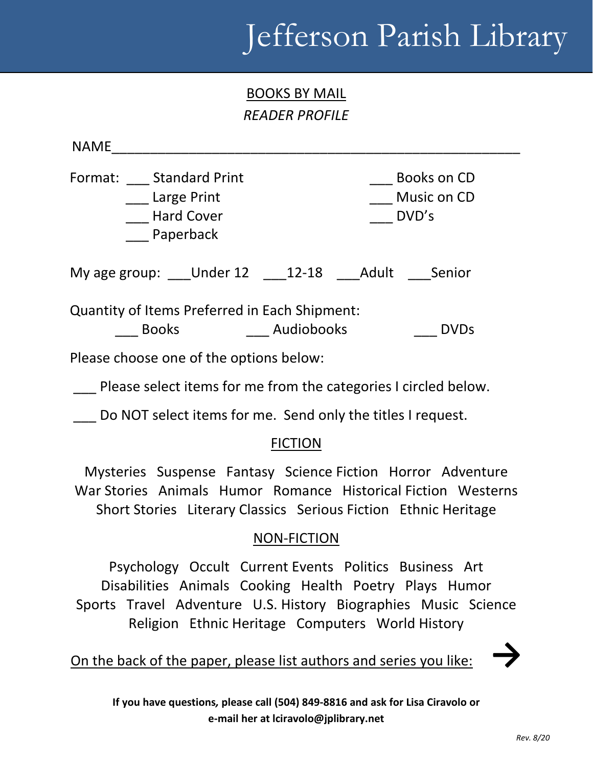# Jefferson Parish Library

BOOKS BY MAIL *READER PROFILE*

 $NAME$ Format: \_\_\_\_ Standard Print \_\_\_\_\_ \_\_\_\_\_\_\_\_\_\_\_\_\_\_\_\_\_ Books on CD \_\_\_ Large Print \_\_\_ Music on CD Land Cover **Example 2018** DVD's Paperback My age group: \_\_\_Under 12 \_\_\_12-18 \_\_\_Adult \_\_\_Senior Quantity of Items Preferred in Each Shipment: \_\_\_ Books \_\_\_ Audiobooks \_\_\_ DVDs Please choose one of the options below: Please select items for me from the categories I circled below.

Do NOT select items for me. Send only the titles I request.

### FICTION

Mysteries Suspense Fantasy Science Fiction Horror Adventure War Stories Animals Humor Romance Historical Fiction Westerns Short Stories Literary Classics Serious Fiction Ethnic Heritage

#### NON-FICTION

Psychology Occult Current Events Politics Business Art Disabilities Animals Cooking Health Poetry Plays Humor Sports Travel Adventure U.S. History Biographies Music Science Religion Ethnic Heritage Computers World History

On the back of the paper, please list authors and series you like:

**If you have questions***,* **please call (504) 849-8816 and ask for Lisa Ciravolo or e-mail her at lciravolo@jplibrary.net**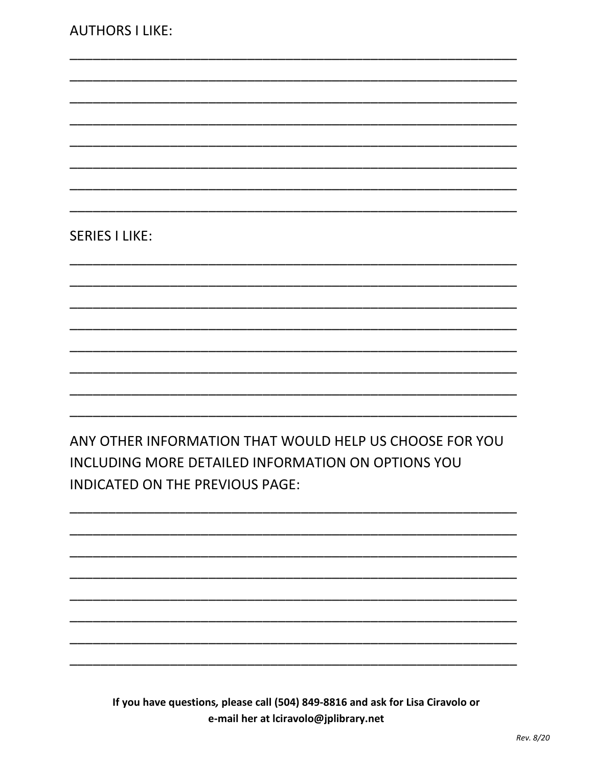#### **SERIES I LIKE:**

ANY OTHER INFORMATION THAT WOULD HELP US CHOOSE FOR YOU INCLUDING MORE DETAILED INFORMATION ON OPTIONS YOU **INDICATED ON THE PREVIOUS PAGE:** 

If you have questions, please call (504) 849-8816 and ask for Lisa Ciravolo or e-mail her at Iciravolo@jplibrary.net